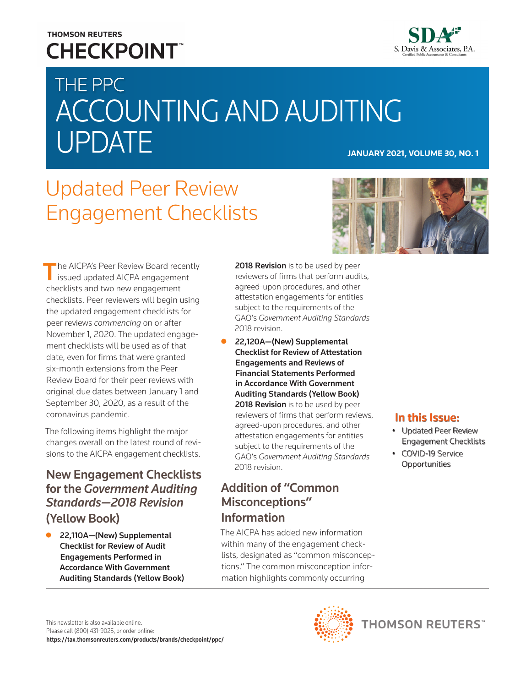### **THOMSON REUTERS CHECKPOINT**



# THE PPC ACCOUNTING AND AUDITING UPDATE **JANUARY 2021, VOLUME 30, NO. 1**

## Updated Peer Review Engagement Checklists



**The AICPA's Peer Review Board recently**  $\blacksquare$  issued updated AICPA engagement checklists and two new engagement checklists. Peer reviewers will begin using the updated engagement checklists for peer reviews *commencing* on or after November 1, 2020. The updated engagement checklists will be used as of that date, even for firms that were granted six-month extensions from the Peer Review Board for their peer reviews with original due dates between January 1 and September 30, 2020, as a result of the coronavirus pandemic.

The following items highlight the major changes overall on the latest round of revisions to the AICPA engagement checklists.

#### New Engagement Checklists for the *Government Auditing Standards—2018 Revision* (Yellow Book)

22,110A-(New) Supplemental Checklist for Review of Audit Engagements Performed in Accordance With Government Auditing Standards (Yellow Book)

2018 Revision is to be used by peer reviewers of firms that perform audits, agreed-upon procedures, and other attestation engagements for entities subject to the requirements of the GAO's *Government Auditing Standards* 2018 revision.

z 22,120A—(New) Supplemental Checklist for Review of Attestation Engagements and Reviews of Financial Statements Performed in Accordance With Government Auditing Standards (Yellow Book) 2018 Revision is to be used by peer reviewers of firms that perform reviews, agreed-upon procedures, and other attestation engagements for entities subject to the requirements of the GAO's *Government Auditing Standards* 2018 revision.

#### Addition of "Common Misconceptions" Information

The AICPA has added new information within many of the engagement checklists, designated as "common misconceptions." The common misconception information highlights commonly occurring

#### In this Issue:

- Updated Peer Review Engagement Checklists
- COVID-19 Service **Opportunities**

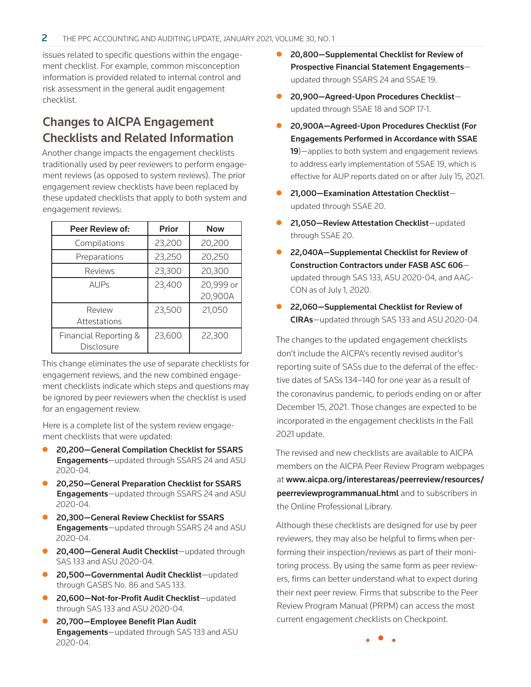issues related to specific questions within the engagement checklist. For example, common misconception information is provided related to internal control and risk assessment in the general audit engagement checklist.

#### Changes to AICPA Engagement Checklists and Related Information

Another change impacts the engagement checklists traditionally used by peer reviewers to perform engagement reviews (as opposed to system reviews). The prior engagement review checklists have been replaced by these updated checklists that apply to both system and engagement reviews:

| <b>Peer Review of:</b>              | <b>Prior</b> | <b>Now</b>           |
|-------------------------------------|--------------|----------------------|
| Compilations                        | 23,200       | 20,200               |
| Preparations                        | 23,250       | 20,250               |
| Reviews                             | 23,300       | 20,300               |
| <b>AUPs</b>                         | 23,400       | 20,999 or<br>20,900A |
| Review<br>Attestations              | 23,500       | 21,050               |
| Financial Reporting &<br>Disclosure | 23,600       | 22,300               |

This change eliminates the use of separate checklists for engagement reviews, and the new combined engagement checklists indicate which steps and questions may be ignored by peer reviewers when the checklist is used for an engagement review.

Here is a complete list of the system review engagement checklists that were updated:

- 20,200-General Compilation Checklist for SSARS Engagements-updated through SSARS 24 and ASU 2020-04.
- 20,250 General Preparation Checklist for SSARS **Engagements**—updated through SSARS 24 and ASU 2020-04.
- 20,300–General Review Checklist for SSARS Engagements—updated through SSARS 24 and ASU 2020-04.
- **20,400-General Audit Checklist**-updated through SAS 133 and ASU 2020-04.
- 20,500-Governmental Audit Checklist-updated through GASBS No. 86 and SAS 133.
- 20,600-Not-for-Profit Audit Checklist-updated through SAS 133 and ASU 2020-04.
- 20,700-Employee Benefit Plan Audit Engagements-updated through SAS 133 and ASU 2020-04.
- 20,800-Supplemental Checklist for Review of Prospective Financial Statement Engagements updated through SSARS 24 and SSAE 19.
- 20,900-Agreed-Upon Procedures Checklistupdated through SSAE 18 and SOP 17-1.
- 20,900A-Agreed-Upon Procedures Checklist (For Engagements Performed in Accordance with SSAE 19)—applies to both system and engagement reviews to address early implementation of SSAE 19, which is effective for AUP reports dated on or after July 15, 2021.
- 21,000-Examination Attestation Checklistupdated through SSAE 20.
- **21,050-Review Attestation Checklist**-updated through SSAE 20.
- 22,040A–Supplemental Checklist for Review of Construction Contractors under FASB ASC 606 updated through SAS 133, ASU 2020-04, and AAG-CON as of July 1, 2020.
- 22,060-Supplemental Checklist for Review of CIRAs—updated through SAS 133 and ASU 2020-04.

The changes to the updated engagement checklists don't include the AICPA's recently revised auditor's reporting suite of SASs due to the deferral of the effective dates of SASs 134–140 for one year as a result of the coronavirus pandemic, to periods ending on or after December 15, 2021. Those changes are expected to be incorporated in the engagement checklists in the Fall 2021 update.

The revised and new checklists are available to AICPA members on the AICPA Peer Review Program webpages at [www.aicpa.org/interestareas/peerreview/resources/](https://www.aicpa.org/interestareas/peerreview/resources/peerreviewprogrammanual.html) [peerreviewprogrammanual.html](https://www.aicpa.org/interestareas/peerreview/resources/peerreviewprogrammanual.html) and to subscribers in the Online Professional Library.

Although these checklists are designed for use by peer reviewers, they may also be helpful to firms when performing their inspection/reviews as part of their monitoring process. By using the same form as peer reviewers, firms can better understand what to expect during their next peer review. Firms that subscribe to the Peer Review Program Manual (PRPM) can access the most current engagement checklists on Checkpoint.

• • •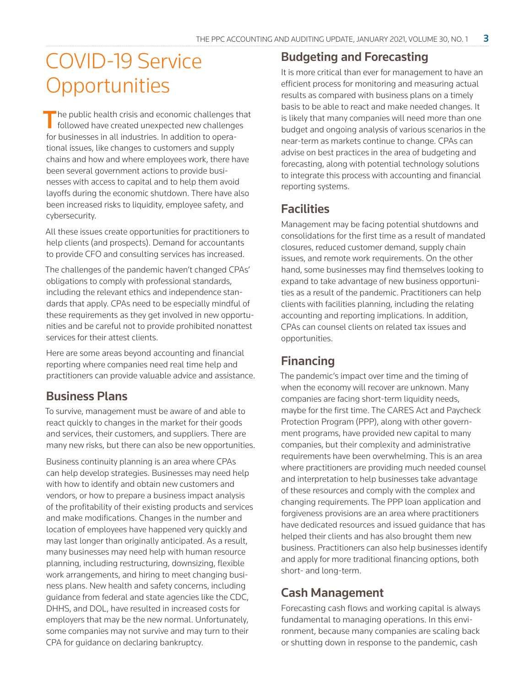### COVID-19 Service **Opportunities**

 $\blacksquare$  he public health crisis and economic challenges that **f** followed have created unexpected new challenges for businesses in all industries. In addition to operational issues, like changes to customers and supply chains and how and where employees work, there have been several government actions to provide businesses with access to capital and to help them avoid layoffs during the economic shutdown. There have also been increased risks to liquidity, employee safety, and cybersecurity.

All these issues create opportunities for practitioners to help clients (and prospects). Demand for accountants to provide CFO and consulting services has increased.

The challenges of the pandemic haven't changed CPAs' obligations to comply with professional standards, including the relevant ethics and independence standards that apply. CPAs need to be especially mindful of these requirements as they get involved in new opportunities and be careful not to provide prohibited nonattest services for their attest clients.

Here are some areas beyond accounting and financial reporting where companies need real time help and practitioners can provide valuable advice and assistance.

#### Business Plans

To survive, management must be aware of and able to react quickly to changes in the market for their goods and services, their customers, and suppliers. There are many new risks, but there can also be new opportunities.

Business continuity planning is an area where CPAs can help develop strategies. Businesses may need help with how to identify and obtain new customers and vendors, or how to prepare a business impact analysis of the profitability of their existing products and services and make modifications. Changes in the number and location of employees have happened very quickly and may last longer than originally anticipated. As a result, many businesses may need help with human resource planning, including restructuring, downsizing, flexible work arrangements, and hiring to meet changing business plans. New health and safety concerns, including guidance from federal and state agencies like the CDC, DHHS, and DOL, have resulted in increased costs for employers that may be the new normal. Unfortunately, some companies may not survive and may turn to their CPA for guidance on declaring bankruptcy.

#### Budgeting and Forecasting

It is more critical than ever for management to have an efficient process for monitoring and measuring actual results as compared with business plans on a timely basis to be able to react and make needed changes. It is likely that many companies will need more than one budget and ongoing analysis of various scenarios in the near-term as markets continue to change. CPAs can advise on best practices in the area of budgeting and forecasting, along with potential technology solutions to integrate this process with accounting and financial reporting systems.

#### **Facilities**

Management may be facing potential shutdowns and consolidations for the first time as a result of mandated closures, reduced customer demand, supply chain issues, and remote work requirements. On the other hand, some businesses may find themselves looking to expand to take advantage of new business opportunities as a result of the pandemic. Practitioners can help clients with facilities planning, including the relating accounting and reporting implications. In addition, CPAs can counsel clients on related tax issues and opportunities.

#### Financing

The pandemic's impact over time and the timing of when the economy will recover are unknown. Many companies are facing short-term liquidity needs, maybe for the first time. The CARES Act and Paycheck Protection Program (PPP), along with other government programs, have provided new capital to many companies, but their complexity and administrative requirements have been overwhelming. This is an area where practitioners are providing much needed counsel and interpretation to help businesses take advantage of these resources and comply with the complex and changing requirements. The PPP loan application and forgiveness provisions are an area where practitioners have dedicated resources and issued guidance that has helped their clients and has also brought them new business. Practitioners can also help businesses identify and apply for more traditional financing options, both short- and long-term.

#### Cash Management

Forecasting cash flows and working capital is always fundamental to managing operations. In this environment, because many companies are scaling back or shutting down in response to the pandemic, cash